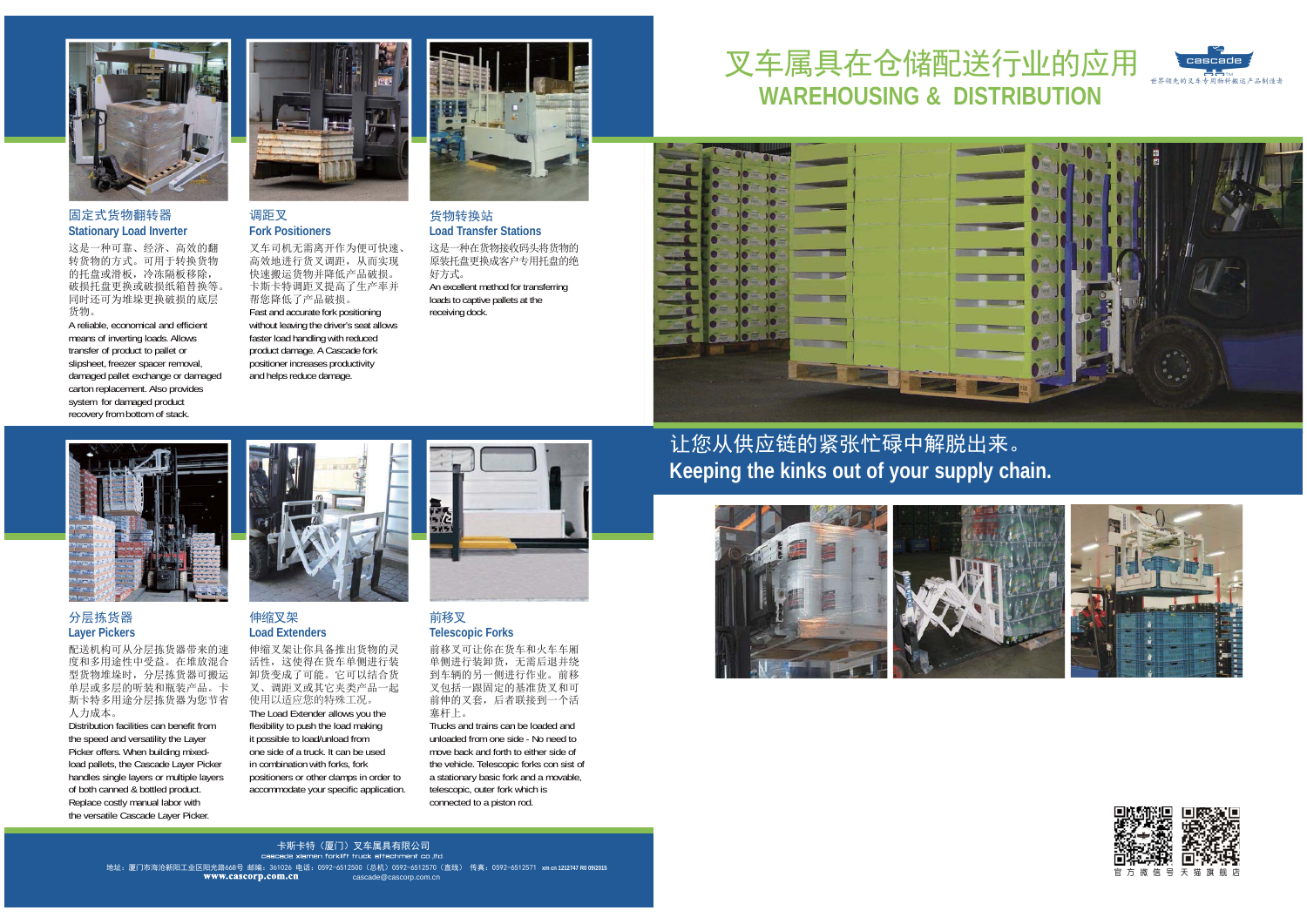

### 固定式货物翻转器**Stationary Load Inverter**

这是一种可靠、经济、高效的翻 转货物的方式。可用于转换货物 的托盘或滑板,冷冻隔板移除, 破损托盘更换或破损纸箱替换等。 同时还可为堆垛更换破损的底层货物。

 A reliable, economical and efficient means of inverting loads. Allows transfer of product to pallet or slipsheet, freezer spacer removal, damaged pallet exchange or damaged carton replacement. Also provides system for damaged product recovery from bottom of stack.



### 调距叉**Fork Positioners**

叉车司机无需离开作为便可快速、 高效地进行货叉调距,从而实现 快速搬运货物并降低产品破损。 卡斯卡特调距叉提高了生产率并帮您降低了产品破损。 Fast and accurate fork positioning without leaving the driver's seat allows faster load handling with reduced product damage. A Cascade fork positioner increases productivity and helps reduce damage.



# 货物转换站**Load Transfer Stations**

这是一种在货物接收码头将货物的 原装托盘更换成客户专用托盘的绝 好方式。 An excellent method for transferring loads to captive pallets at the receiving dock.

# 叉车属具在仓储配送行业的应用  **WAREHOUSING & DISTRIBUTION**



# 分层拣货器**Layer Pickers**

配送机构可从分层拣货器带来的速 度和多用途性中受益。在堆放混合 型货物堆垛时,分层拣货器可搬运 单层或多层的听装和瓶装产品。卡 斯卡特多用途分层拣货器为您节省人力成本。

Distribution facilities can benefit from the speed and versatility the Layer Picker offers. When building mixedload pallets, the Cascade Layer Picker handles single layers or multiple layers of both canned & bottled product. Replace costly manual labor with the versatile Cascade Layer Picker.



### 伸缩叉架**Load Extenders**

伸缩叉架让你具备推出货物的灵 活性,这使得在货车单侧进行装 卸货变成了可能。它可以结合货 叉、调距叉或其它夹类产品一起使用以适应您的特殊工况。 The Load Extender allows you the flexibility to push the load making it possible to load/unload from one side of a truck. It can be used in combination with forks, fork positioners or other clamps in order to accommodate your specific application.



### 前移叉**Telescopic Forks**

前移叉可让你在货车和火车车厢 单侧进行装卸货,无需后退并绕 到车辆的另一侧进行作业。前移 叉包括一跟固定的基准货叉和可前伸的叉套,后者联接到一个活塞杆上。

Trucks and trains can be loaded and unloaded from one side - No need to move back and forth to either side of the vehicle. Telescopic forks con sist of a stationary basic fork and a movable, telescopic, outer fork which is connected to a piston rod.

# 让您从供应链的紧张忙碌中解脱出来。 **Keeping the kinks out of your supply chain.**





**cascade** 世界领先的叉车专用物料搬运产品制造者

**xm cn 1212747 R0 09/2015** 地址:厦门市海沧新阳工业区阳光路668号 邮编:361026 电话:0592-6512500(总机)0592-6512570(直线) 传真:0592-6512571 cascade@cascorp.com.cn 卡斯卡特(厦门)叉车属具有限公司